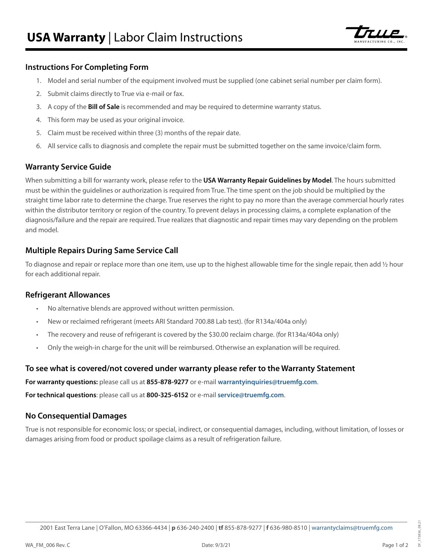

# **Instructions For Completing Form**

- 1. Model and serial number of the equipment involved must be supplied (one cabinet serial number per claim form).
- 2. Submit claims directly to True via e-mail or fax.
- 3. A copy of the **Bill of Sale** is recommended and may be required to determine warranty status.
- 4. This form may be used as your original invoice.
- 5. Claim must be received within three (3) months of the repair date.
- 6. All service calls to diagnosis and complete the repair must be submitted together on the same invoice/claim form.

## **Warranty Service Guide**

When submitting a bill for warranty work, please refer to the **USA Warranty Repair Guidelines by Model**. The hours submitted must be within the guidelines or authorization is required from True. The time spent on the job should be multiplied by the straight time labor rate to determine the charge. True reserves the right to pay no more than the average commercial hourly rates within the distributor territory or region of the country. To prevent delays in processing claims, a complete explanation of the diagnosis/failure and the repair are required. True realizes that diagnostic and repair times may vary depending on the problem and model.

# **Multiple Repairs During Same Service Call**

To diagnose and repair or replace more than one item, use up to the highest allowable time for the single repair, then add 1/2 hour for each additional repair.

# **Refrigerant Allowances**

- No alternative blends are approved without written permission.
- New or reclaimed refrigerant (meets ARI Standard 700.88 Lab test). (for R134a/404a only)
- The recovery and reuse of refrigerant is covered by the \$30.00 reclaim charge. (for R134a/404a only)
- Only the weigh-in charge for the unit will be reimbursed. Otherwise an explanation will be required.

# **To see what is covered/not covered under warranty please refer to the Warranty Statement**

**For warranty questions:** please call us at **855-878-9277** or e-mail **[warrantyinquiries@truemfg.com](mailto:warrantyinquiries%40truemfg.com?subject=)**.

**For technical questions**: please call us at **800-325-6152** or e-mail **[service@truemfg.com](mailto:service%40truemfg.com?subject=)**.

# **No Consequential Damages**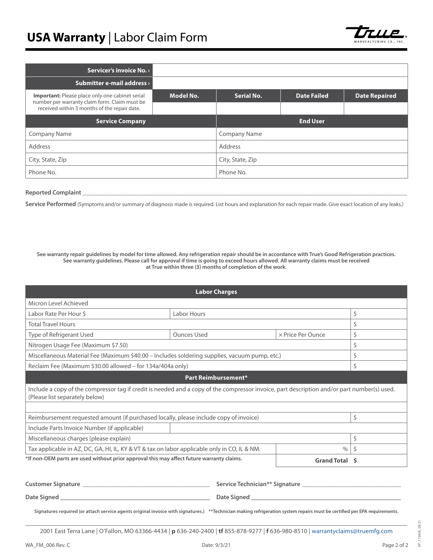

| Servicer's invoice No. >                                                                                |           |                     |                    |                      |
|---------------------------------------------------------------------------------------------------------|-----------|---------------------|--------------------|----------------------|
| <b>Submitter e-mail address</b> >                                                                       |           |                     |                    |                      |
| <b>Important:</b> Please place only one cabinet serial<br>number per warranty claim form. Claim must be | Model No. | Serial No.          | <b>Date Failed</b> | <b>Date Repaired</b> |
| received within 3 months of the repair date.                                                            |           |                     |                    |                      |
| <b>Service Company</b>                                                                                  |           |                     | <b>End User</b>    |                      |
| <b>Company Name</b>                                                                                     |           | <b>Company Name</b> |                    |                      |
| Address                                                                                                 |           | Address             |                    |                      |
| City, State, Zip                                                                                        |           | City, State, Zip    |                    |                      |
| Phone No.                                                                                               |           | Phone No.           |                    |                      |

#### **Reported Complaint**

Service Performed (Symptoms and/or summary of diagnosis made is required. List hours and explanation for each repair made. Give exact location of any leaks.)

**See warranty repair guidelines by model for time allowed. Any refrigeration repair should be in accordance with True's Good Refrigeration practices. See warranty guidelines. Please call for approval if time is going to exceed hours allowed. All warranty claims must be received at True within three (3) months of completion of the work.**

|                                                                                                                                                                               | <b>Labor Charges</b>                       |                   |    |
|-------------------------------------------------------------------------------------------------------------------------------------------------------------------------------|--------------------------------------------|-------------------|----|
| Micron Level Achieved                                                                                                                                                         |                                            |                   |    |
| Labor Rate Per Hour \$                                                                                                                                                        | Labor Hours                                |                   | \$ |
| <b>Total Travel Hours</b>                                                                                                                                                     |                                            |                   | Ś  |
| Type of Refrigerant Used                                                                                                                                                      | <b>Ounces Used</b>                         | × Price Per Ounce | \$ |
| Nitrogen Usage Fee (Maximum \$7.50)                                                                                                                                           |                                            |                   | \$ |
| Miscellaneous Material Fee (Maximum \$40.00 - Includes soldering supplies, vacuum pump, etc.)                                                                                 |                                            |                   | Ś. |
| Reclaim Fee (Maximum \$30.00 allowed - for 134a/404a only)                                                                                                                    |                                            |                   | Ś. |
|                                                                                                                                                                               | Part Reimbursement*                        |                   |    |
| Include a copy of the compressor tag if credit is needed and a copy of the compressor invoice, part description and/or part number(s) used.<br>(Please list separately below) |                                            |                   |    |
|                                                                                                                                                                               |                                            |                   |    |
| Reimbursement requested amount (if purchased locally, please include copy of invoice)                                                                                         |                                            |                   | \$ |
| Include Parts Invoice Number (if applicable)                                                                                                                                  |                                            |                   |    |
| Miscellaneous charges (please explain)                                                                                                                                        |                                            |                   | Ś  |
| Tax applicable in AZ, DC, GA, HI, IL, KY & VT & tax on labor applicable only in CO, IL & NM.                                                                                  |                                            | $\%$              |    |
| *If non-OEM parts are used without prior approval this may affect future warranty claims.                                                                                     |                                            | Grand Total \$    |    |
|                                                                                                                                                                               |                                            |                   |    |
| Customer Signature _____________                                                                                                                                              | Service Technician** Signature ___________ |                   |    |
| Date Signed                                                                                                                                                                   | <b>Date Signed</b>                         |                   |    |

**Signatures required (or attach service agents original invoice with signatures.) \*\*Technician making refrigeration system repairs must be certified per EPA requirements.**

2001 East Terra Lane | O'Fallon, MO 63366-4434 | **p** 636-240-2400 | **tf** 855-878-9277 | **f** 636-980-8510 | [warrantyclaims@truemfg.com](mailto:warrantyclaims%40truemfg.com?subject=)

DF\_173836\_08.21

DF\_173836\_08.21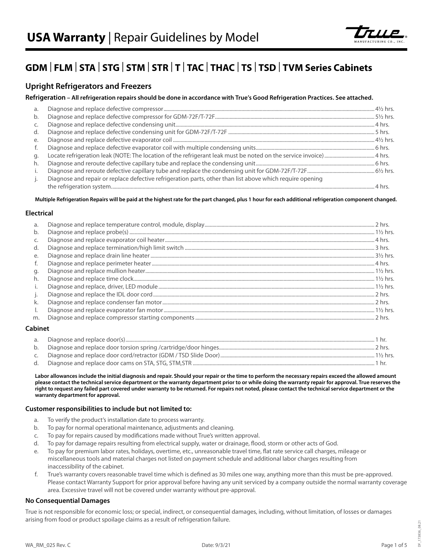

# **GDM** | **FLM** | **STA** | **STG** | **STM** | **STR** | **T** | **TAC** | **THAC** | **TS** | **TSD** | **TVM Series Cabinets**

# **Upright Refrigerators and Freezers**

#### **Refrigeration – All refrigeration repairs should be done in accordance with True's Good Refrigeration Practices. See attached.**

| a.  |                                                                                                           |  |
|-----|-----------------------------------------------------------------------------------------------------------|--|
| b.  |                                                                                                           |  |
| C.  |                                                                                                           |  |
| d.  |                                                                                                           |  |
| e.  |                                                                                                           |  |
| f.  |                                                                                                           |  |
| q.  |                                                                                                           |  |
| h.  |                                                                                                           |  |
| i.  |                                                                                                           |  |
| j., | Diagnose and repair or replace defective refrigeration parts, other than list above which require opening |  |
|     |                                                                                                           |  |

#### **Multiple Refrigeration Repairs will be paid at the highest rate for the part changed, plus 1 hour for each additional refrigeration component changed.**

#### **Electrical**

| a.<br>b. |  |
|----------|--|
| C.       |  |
| d.       |  |
| e.       |  |
| f.       |  |
| q.       |  |
| h.       |  |
| i.       |  |
| j.       |  |
| k.       |  |
| Ι.       |  |
| m.       |  |

#### **Cabinet**

| а. |         |
|----|---------|
|    | 2 hrs   |
|    | 1½ hrs. |
|    |         |

**Labor allowances include the initial diagnosis and repair. Should your repair or the time to perform the necessary repairs exceed the allowed amount please contact the technical service department or the warranty department prior to or while doing the warranty repair for approval. True reserves the right to request any failed part covered under warranty to be returned. For repairs not noted, please contact the technical service department or the warranty department for approval.**

#### **Customer responsibilities to include but not limited to:**

- a. To verify the product's installation date to process warranty.
- b. To pay for normal operational maintenance, adjustments and cleaning.
- c. To pay for repairs caused by modifications made without True's written approval.
- d. To pay for damage repairs resulting from electrical supply, water or drainage, flood, storm or other acts of God.
- e. To pay for premium labor rates, holidays, overtime, etc., unreasonable travel time, flat rate service call charges, mileage or miscellaneous tools and material charges not listed on payment schedule and additional labor charges resulting from inaccessibility of the cabinet.
- f. True's warranty covers reasonable travel time which is defined as 30 miles one way, anything more than this must be pre-approved. Please contact Warranty Support for prior approval before having any unit serviced by a company outside the normal warranty coverage area. Excessive travel will not be covered under warranty without pre-approval.

#### **No Consequential Damages**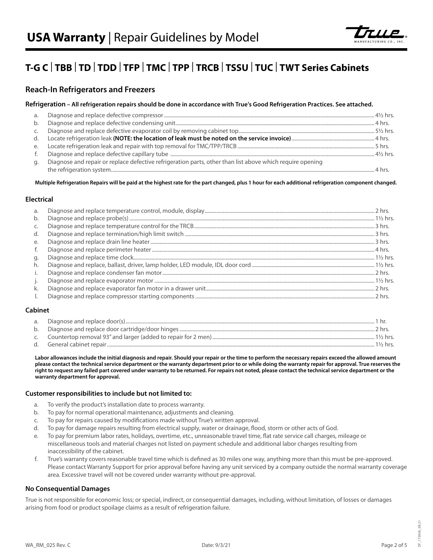

# **T-G C** | **TBB** | **TD** | **TDD** | **TFP** | **TMC** | **TPP** | **TRCB** | **TSSU** | **TUC** | **TWT Series Cabinets**

# **Reach-In Refrigerators and Freezers**

#### **Refrigeration – All refrigeration repairs should be done in accordance with True's Good Refrigeration Practices. See attached.**

| a. |                                                                                                           |  |
|----|-----------------------------------------------------------------------------------------------------------|--|
|    |                                                                                                           |  |
|    |                                                                                                           |  |
|    |                                                                                                           |  |
|    |                                                                                                           |  |
| f. |                                                                                                           |  |
| a. | Diagnose and repair or replace defective refrigeration parts, other than list above which require opening |  |
|    |                                                                                                           |  |

**Multiple Refrigeration Repairs will be paid at the highest rate for the part changed, plus 1 hour for each additional refrigeration component changed.**

#### **Electrical**

| a. |  |
|----|--|
| b. |  |
| C. |  |
| d. |  |
| e. |  |
| f. |  |
| q. |  |
| h. |  |
| i. |  |
| j. |  |
| k. |  |
|    |  |

#### **Cabinet**

| a. |            |
|----|------------|
| b. | ⊇ hrs      |
|    | 1½ hrs.    |
|    | $1\%$ hrs. |

**Labor allowances include the initial diagnosis and repair. Should your repair or the time to perform the necessary repairs exceed the allowed amount please contact the technical service department or the warranty department prior to or while doing the warranty repair for approval. True reserves the right to request any failed part covered under warranty to be returned. For repairs not noted, please contact the technical service department or the warranty department for approval.**

#### **Customer responsibilities to include but not limited to:**

- a. To verify the product's installation date to process warranty.
- b. To pay for normal operational maintenance, adjustments and cleaning.
- c. To pay for repairs caused by modifications made without True's written approval.
- d. To pay for damage repairs resulting from electrical supply, water or drainage, flood, storm or other acts of God.
- e. To pay for premium labor rates, holidays, overtime, etc., unreasonable travel time, flat rate service call charges, mileage or
- miscellaneous tools and material charges not listed on payment schedule and additional labor charges resulting from inaccessibility of the cabinet.
- f. True's warranty covers reasonable travel time which is defined as 30 miles one way, anything more than this must be pre-approved. Please contact Warranty Support for prior approval before having any unit serviced by a company outside the normal warranty coverage area. Excessive travel will not be covered under warranty without pre-approval.

#### **No Consequential Damages**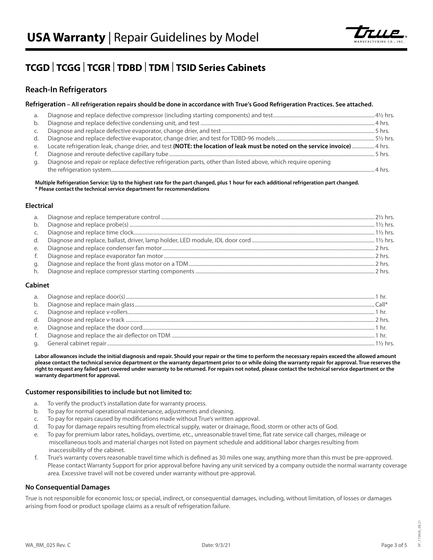

# **TCGD** | **TCGG** | **TCGR** | **TDBD** | **TDM** | **TSID Series Cabinets**

# **Reach-In Refrigerators**

#### **Refrigeration – All refrigeration repairs should be done in accordance with True's Good Refrigeration Practices. See attached.**

| a.<br>b. |                                                                                                                             |  |
|----------|-----------------------------------------------------------------------------------------------------------------------------|--|
|          |                                                                                                                             |  |
| C.       |                                                                                                                             |  |
| d.       |                                                                                                                             |  |
| e.       | Locate refrigeration leak, change drier, and test (NOTE: the location of leak must be noted on the service invoice)  4 hrs. |  |
| f.       |                                                                                                                             |  |
| q.       | Diagnose and repair or replace defective refrigeration parts, other than listed above, which require opening                |  |
|          |                                                                                                                             |  |

**Multiple Refrigeration Service: Up to the highest rate for the part changed, plus 1 hour for each additional refrigeration part changed. \* Please contact the technical service department for recommendations**

#### **Electrical**

| a. |  |
|----|--|
| b. |  |
|    |  |
| d. |  |
| e. |  |
| f. |  |
| q. |  |
| h. |  |

#### **Cabinet**

| a. |  |
|----|--|
|    |  |
| b. |  |
|    |  |
| d. |  |
| e. |  |
|    |  |
|    |  |

**Labor allowances include the initial diagnosis and repair. Should your repair or the time to perform the necessary repairs exceed the allowed amount please contact the technical service department or the warranty department prior to or while doing the warranty repair for approval. True reserves the right to request any failed part covered under warranty to be returned. For repairs not noted, please contact the technical service department or the warranty department for approval.**

#### **Customer responsibilities to include but not limited to:**

- a. To verify the product's installation date for warranty process.
- b. To pay for normal operational maintenance, adjustments and cleaning.
- c. To pay for repairs caused by modifications made without True's written approval.
- d. To pay for damage repairs resulting from electrical supply, water or drainage, flood, storm or other acts of God.
- e. To pay for premium labor rates, holidays, overtime, etc., unreasonable travel time, flat rate service call charges, mileage or miscellaneous tools and material charges not listed on payment schedule and additional labor charges resulting from inaccessibility of the cabinet.
- f. True's warranty covers reasonable travel time which is defined as 30 miles one way, anything more than this must be pre-approved. Please contact Warranty Support for prior approval before having any unit serviced by a company outside the normal warranty coverage area. Excessive travel will not be covered under warranty without pre-approval.

#### **No Consequential Damages**

True is not responsible for economic loss; or special, indirect, or consequential damages, including, without limitation, of losses or damages arising from food or product spoilage claims as a result of refrigeration failure.

DF\_173836\_08.21

173836 08.21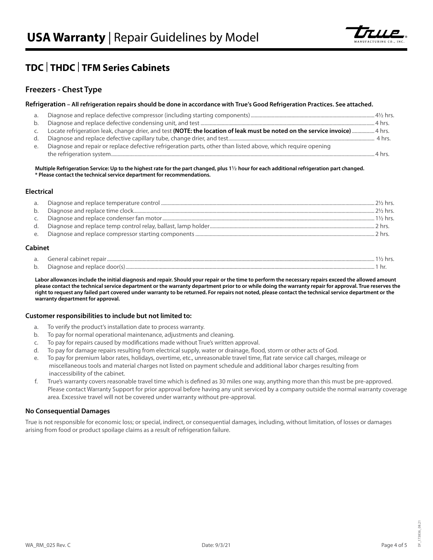

# **TDC** | **THDC** | **TFM Series Cabinets**

# **Freezers - Chest Type**

#### **Refrigeration – All refrigeration repairs should be done in accordance with True's Good Refrigeration Practices. See attached.**

| a. |                                                                                                                             |
|----|-----------------------------------------------------------------------------------------------------------------------------|
| b. |                                                                                                                             |
|    | Locate refrigeration leak, change drier, and test (NOTE: the location of leak must be noted on the service invoice)  4 hrs. |
| d. |                                                                                                                             |
| e. | Diagnose and repair or replace defective refrigeration parts, other than listed above, which require opening                |
|    |                                                                                                                             |

**Multiple Refrigeration Service: Up to the highest rate for the part changed, plus 1½ hour for each additional refrigeration part changed. \* Please contact the technical service department for recommendations.**

#### **Electrical**

| a. |  |
|----|--|
| b. |  |
| C. |  |
| d. |  |
| е. |  |

#### **Cabinet**

| $\sim$<br>d.     |   |  |
|------------------|---|--|
| $\sqrt{ }$<br>υ. | . |  |

**Labor allowances include the initial diagnosis and repair. Should your repair or the time to perform the necessary repairs exceed the allowed amount please contact the technical service department or the warranty department prior to or while doing the warranty repair for approval. True reserves the right to request any failed part covered under warranty to be returned. For repairs not noted, please contact the technical service department or the warranty department for approval.**

#### **Customer responsibilities to include but not limited to:**

- a. To verify the product's installation date to process warranty.
- b. To pay for normal operational maintenance, adjustments and cleaning.
- c. To pay for repairs caused by modifications made without True's written approval.
- d. To pay for damage repairs resulting from electrical supply, water or drainage, flood, storm or other acts of God.
- e. To pay for premium labor rates, holidays, overtime, etc., unreasonable travel time, flat rate service call charges, mileage or miscellaneous tools and material charges not listed on payment schedule and additional labor charges resulting from inaccessibility of the cabinet.
- f. True's warranty covers reasonable travel time which is defined as 30 miles one way, anything more than this must be pre-approved. Please contact Warranty Support for prior approval before having any unit serviced by a company outside the normal warranty coverage area. Excessive travel will not be covered under warranty without pre-approval.

#### **No Consequential Damages**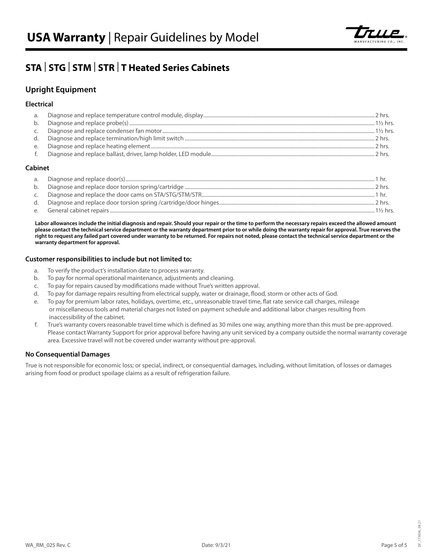

# **STA** | **STG** | **STM** | **STR** | **T Heated Series Cabinets**

# **Upright Equipment**

#### **Electrical**

| 2 hrs |
|-------|
|       |
|       |

#### **Cabinet**

| a. |                    |
|----|--------------------|
| b. | 2 hrs              |
|    |                    |
| d. |                    |
| е. | $1\frac{1}{2}$ hrs |

**Labor allowances include the initial diagnosis and repair. Should your repair or the time to perform the necessary repairs exceed the allowed amount please contact the technical service department or the warranty department prior to or while doing the warranty repair for approval. True reserves the right to request any failed part covered under warranty to be returned. For repairs not noted, please contact the technical service department or the warranty department for approval.**

#### **Customer responsibilities to include but not limited to:**

- a. To verify the product's installation date to process warranty.
- b. To pay for normal operational maintenance, adjustments and cleaning.
- c. To pay for repairs caused by modifications made without True's written approval.
- d. To pay for damage repairs resulting from electrical supply, water or drainage, flood, storm or other acts of God.
- e. To pay for premium labor rates, holidays, overtime, etc., unreasonable travel time, flat rate service call charges, mileage or miscellaneous tools and material charges not listed on payment schedule and additional labor charges resulting from inaccessibility of the cabinet.
- f. True's warranty covers reasonable travel time which is defined as 30 miles one way, anything more than this must be pre-approved. Please contact Warranty Support for prior approval before having any unit serviced by a company outside the normal warranty coverage area. Excessive travel will not be covered under warranty without pre-approval.

#### **No Consequential Damages**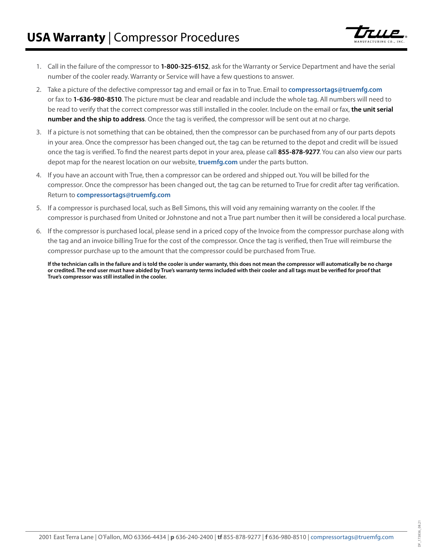

- 1. Call in the failure of the compressor to **1-800-325-6152**, ask for the Warranty or Service Department and have the serial number of the cooler ready. Warranty or Service will have a few questions to answer.
- 2. Take a picture of the defective compressor tag and email or fax in to True. Email to **[compressortags@truemfg.com](mailto:compressortags%40truemfg.com?subject=)** or fax to **1-636-980-8510**. The picture must be clear and readable and include the whole tag. All numbers will need to be read to verify that the correct compressor was still installed in the cooler. Include on the email or fax, **the unit serial number and the ship to address**. Once the tag is verified, the compressor will be sent out at no charge.
- 3. If a picture is not something that can be obtained, then the compressor can be purchased from any of our parts depots in your area. Once the compressor has been changed out, the tag can be returned to the depot and credit will be issued once the tag is verified. To find the nearest parts depot in your area, please call **855-878-9277**. You can also view our parts depot map for the nearest location on our website, **[truemfg.com](https://www.truemfg.com/)** under the parts button.
- 4. If you have an account with True, then a compressor can be ordered and shipped out. You will be billed for the compressor. Once the compressor has been changed out, the tag can be returned to True for credit after tag verification. Return to **[compressortags@truemfg.com](mailto:compressortags%40truemfg.com?subject=)**
- 5. If a compressor is purchased local, such as Bell Simons, this will void any remaining warranty on the cooler. If the compressor is purchased from United or Johnstone and not a True part number then it will be considered a local purchase.
- 6. If the compressor is purchased local, please send in a priced copy of the Invoice from the compressor purchase along with the tag and an invoice billing True for the cost of the compressor. Once the tag is verified, then True will reimburse the compressor purchase up to the amount that the compressor could be purchased from True.

**If the technician calls in the failure and is told the cooler is under warranty, this does not mean the compressor will automatically be no charge or credited. The end user must have abided by True's warranty terms included with their cooler and all tags must be verified for proof that True's compressor was still installed in the cooler.**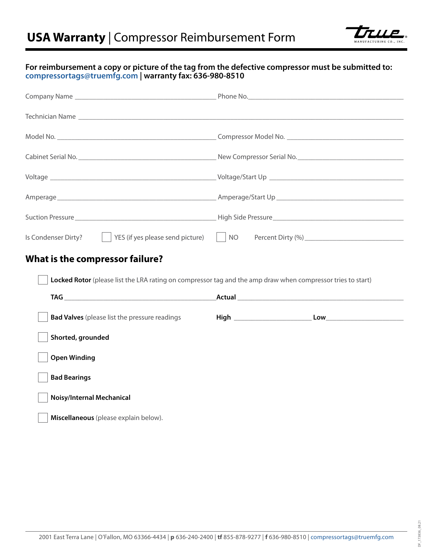

## **For reimbursement a copy or picture of the tag from the defective compressor must be submitted to: [compressortags@truemfg.com](mailto:compressortags%40truemfg.com?subject=) | warranty fax: 636-980-8510**

| Is Condenser Dirty? $\vert$   YES (if yes please send picture)   NO                                         |  |  |  |  |  |  |
|-------------------------------------------------------------------------------------------------------------|--|--|--|--|--|--|
| What is the compressor failure?                                                                             |  |  |  |  |  |  |
| Locked Rotor (please list the LRA rating on compressor tag and the amp draw when compressor tries to start) |  |  |  |  |  |  |
|                                                                                                             |  |  |  |  |  |  |
| <b>Bad Valves</b> (please list the pressure readings                                                        |  |  |  |  |  |  |
| Shorted, grounded                                                                                           |  |  |  |  |  |  |
| <b>Open Winding</b>                                                                                         |  |  |  |  |  |  |
| <b>Bad Bearings</b>                                                                                         |  |  |  |  |  |  |
| Noisy/Internal Mechanical                                                                                   |  |  |  |  |  |  |
| Miscellaneous (please explain below).                                                                       |  |  |  |  |  |  |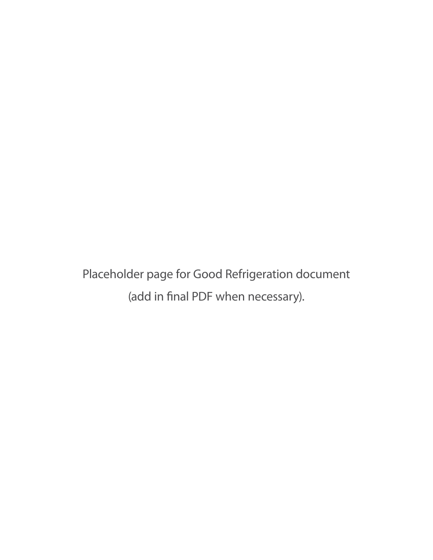Placeholder page for Good Refrigeration document (add in final PDF when necessary).